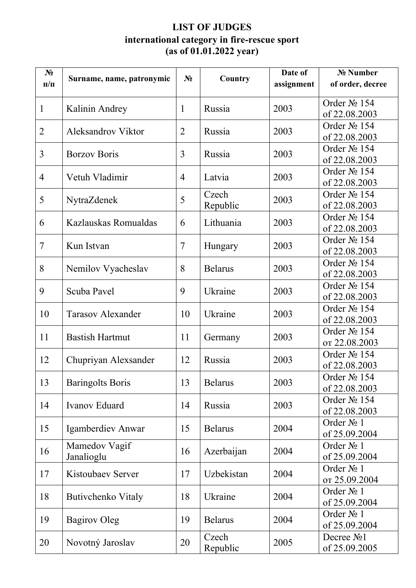## **LIST OF JUDGES international category in fire-rescue sport (as of 01.01.2022 year)**

| $N_2$<br>$\Pi/\Pi$ | Surname, name, patronymic   | $N_2$          | Country           | Date of<br>assignment | № Number<br>of order, decree            |
|--------------------|-----------------------------|----------------|-------------------|-----------------------|-----------------------------------------|
| $\mathbf{1}$       | Kalinin Andrey              | $\mathbf{1}$   | Russia            | 2003                  | Order No 154<br>of 22.08.2003           |
| $\overline{2}$     | <b>Aleksandrov Viktor</b>   | $\overline{2}$ | Russia            | 2003                  | Order № 154<br>of 22.08.2003            |
| 3                  | <b>Borzov Boris</b>         | 3              | Russia            | 2003                  | Order № 154<br>of 22.08.2003            |
| $\overline{4}$     | Vetuh Vladimir              | $\overline{4}$ | Latvia            | 2003                  | Order № 154<br>of 22.08.2003            |
| 5                  | NytraZdenek                 | 5              | Czech<br>Republic | 2003                  | Order № 154<br>of 22.08.2003            |
| 6                  | Kazlauskas Romualdas        | 6              | Lithuania         | 2003                  | Order № 154<br>of 22.08.2003            |
| $\overline{7}$     | Kun Istvan                  | $\tau$         | Hungary           | 2003                  | Order № 154<br>of 22.08.2003            |
| 8                  | Nemilov Vyacheslav          | 8              | <b>Belarus</b>    | 2003                  | Order № 154<br>of 22.08.2003            |
| 9                  | Scuba Pavel                 | 9              | Ukraine           | 2003                  | Order № 154<br>of 22.08.2003            |
| 10                 | <b>Tarasov Alexander</b>    | 10             | Ukraine           | 2003                  | Order No 154<br>of 22.08.2003           |
| 11                 | <b>Bastish Hartmut</b>      | 11             | Germany           | 2003                  | Order No 154<br>от 22.08.2003           |
| 12                 | Chupriyan Alexsander        | 12             | Russia            | 2003                  | Order No 154<br>of 22.08.2003           |
| 13                 | <b>Baringolts Boris</b>     | 13             | <b>Belarus</b>    | 2003                  | Order $N_2$ 154<br>of 22.08.2003        |
| 14                 | <b>Ivanov Eduard</b>        | 14             | Russia            | 2003                  | Order № 154<br>of 22.08.2003            |
| 15                 | Igamberdiev Anwar           | 15             | <b>Belarus</b>    | 2004                  | Order No 1<br>of 25.09.2004             |
| 16                 | Mamedov Vagif<br>Janalioglu | 16             | Azerbaijan        | 2004                  | Order No 1<br>of 25.09.2004             |
| 17                 | Kistoubaev Server           | 17             | Uzbekistan        | 2004                  | Order No 1<br>от 25.09.2004             |
| 18                 | Butivchenko Vitaly          | 18             | Ukraine           | 2004                  | Order No 1<br>of 25.09.2004             |
| 19                 | <b>Bagirov Oleg</b>         | 19             | <b>Belarus</b>    | 2004                  | Order No 1<br>of 25.09.2004             |
| 20                 | Novotný Jaroslav            | 20             | Czech<br>Republic | 2005                  | Decree No <sub>1</sub><br>of 25.09.2005 |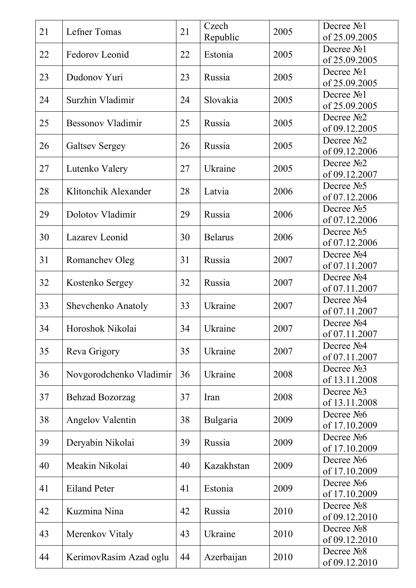| 21 | Lefner Tomas             | 21 | Czech<br>Republic | 2005 | Decree No <sub>1</sub><br>of 25.09.2005 |
|----|--------------------------|----|-------------------|------|-----------------------------------------|
|    |                          |    |                   |      | Decree No <sub>1</sub>                  |
| 22 | Fedorov Leonid           | 22 | Estonia           | 2005 | of 25.09.2005                           |
| 23 | Dudonov Yuri             | 23 | Russia            | 2005 | Decree №1                               |
|    |                          |    |                   |      | of 25.09.2005<br>Decree No <sub>1</sub> |
| 24 | Surzhin Vladimir         | 24 | Slovakia          | 2005 | of 25.09.2005                           |
|    |                          |    |                   |      | Decree No <sub>2</sub>                  |
| 25 | <b>Bessonov Vladimir</b> | 25 | Russia            | 2005 | of 09.12.2005                           |
| 26 | <b>Galtsev Sergey</b>    | 26 | Russia            | 2005 | Decree No <sub>2</sub>                  |
|    |                          |    |                   |      | of 09.12.2006                           |
| 27 | Lutenko Valery           | 27 | Ukraine           | 2005 | Decree No <sub>2</sub><br>of 09.12.2007 |
|    |                          |    |                   |      | Decree No <sub>5</sub>                  |
| 28 | Klitonchik Alexander     | 28 | Latvia            | 2006 | of 07.12.2006                           |
| 29 | Dolotov Vladimir         | 29 | Russia            | 2006 | Decree No <sub>5</sub>                  |
|    |                          |    |                   |      | of 07.12.2006                           |
| 30 | Lazarev Leonid           | 30 | <b>Belarus</b>    | 2006 | Decree No <sub>5</sub>                  |
|    |                          |    |                   |      | of 07.12.2006<br>Decree No <sub>4</sub> |
| 31 | Romanchev Oleg           | 31 | Russia            | 2007 | of 07.11.2007                           |
|    |                          | 32 |                   | 2007 | Decree No <sub>4</sub>                  |
| 32 | Kostenko Sergey          |    | Russia            |      | of 07.11.2007                           |
| 33 | Shevchenko Anatoly       | 33 | Ukraine           | 2007 | Decree No <sub>4</sub>                  |
|    |                          |    |                   |      | of 07.11.2007                           |
| 34 | Horoshok Nikolai         | 34 | Ukraine           | 2007 | Decree No <sub>4</sub><br>of 07.11.2007 |
|    |                          |    |                   |      | Decree No <sub>4</sub>                  |
| 35 | Reva Grigory             | 35 | Ukraine           | 2007 | of 07.11.2007                           |
| 36 | Novgorodchenko Vladimir  | 36 | Ukraine           | 2008 | Decree No <sub>3</sub>                  |
|    |                          |    |                   |      | of 13.11.2008                           |
| 37 | <b>Behzad Bozorzag</b>   | 37 | Iran              | 2008 | Decree No <sub>3</sub><br>of 13.11.2008 |
|    |                          |    |                   |      | Decree No <sub>6</sub>                  |
| 38 | <b>Angelov Valentin</b>  | 38 | Bulgaria          | 2009 | of 17.10.2009                           |
| 39 |                          | 39 | Russia            | 2009 | Decree No <sub>6</sub>                  |
|    | Deryabin Nikolai         |    |                   |      | of 17.10.2009                           |
| 40 | Meakin Nikolai           | 40 | Kazakhstan        | 2009 | Decree No <sub>6</sub>                  |
|    |                          |    |                   |      | of 17.10.2009                           |
| 41 | <b>Eiland Peter</b>      | 41 | Estonia           | 2009 | Decree No <sub>6</sub><br>of 17.10.2009 |
|    |                          |    |                   |      | Decree No <sub>2</sub>                  |
| 42 | Kuzmina Nina             | 42 | Russia            | 2010 | of 09.12.2010                           |
| 43 | Merenkov Vitaly          | 43 | Ukraine           | 2010 | Decree No <sub>2</sub>                  |
|    |                          |    |                   |      | of 09.12.2010                           |
| 44 | KerimovRasim Azad oglu   | 44 | Azerbaijan        | 2010 | Decree No <sub>2</sub><br>of 09.12.2010 |
|    |                          |    |                   |      |                                         |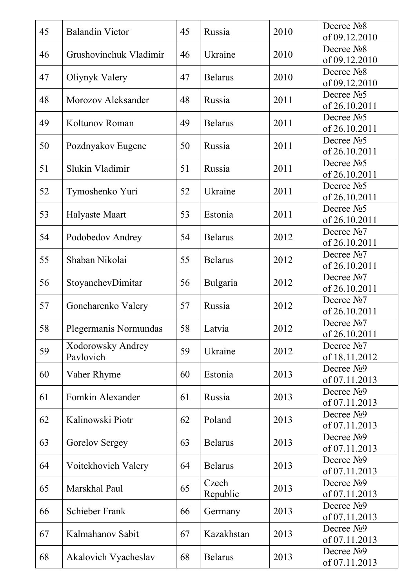| 45 | <b>Balandin Victor</b>         | 45 | Russia            | 2010 | Decree No <sub>2</sub><br>of 09.12.2010  |
|----|--------------------------------|----|-------------------|------|------------------------------------------|
| 46 | Grushovinchuk Vladimir         | 46 | Ukraine           | 2010 | Decree No <sub>2</sub><br>of 09.12.2010  |
| 47 | Oliynyk Valery                 | 47 | <b>Belarus</b>    | 2010 | Decree No <sub>2</sub><br>of 09.12.2010  |
| 48 | Morozov Aleksander             | 48 | Russia            | 2011 | Decree No <sub>5</sub><br>of 26.10.2011  |
| 49 | Koltunov Roman                 | 49 | <b>Belarus</b>    | 2011 | Decree $N25$<br>of 26.10.2011            |
| 50 | Pozdnyakov Eugene              | 50 | Russia            | 2011 | Decree No <sub>5</sub><br>of 26.10.2011  |
| 51 | Slukin Vladimir                | 51 | Russia            | 2011 | Decree $N25$<br>of 26.10.2011            |
| 52 | Tymoshenko Yuri                | 52 | Ukraine           | 2011 | Decree No <sub>5</sub><br>of 26.10.2011  |
| 53 | <b>Halyaste Maart</b>          | 53 | Estonia           | 2011 | Decree No <sub>5</sub><br>of 26.10.2011  |
| 54 | Podobedov Andrey               | 54 | <b>Belarus</b>    | 2012 | Decree No <sub>7</sub><br>of 26.10.2011  |
| 55 | Shaban Nikolai                 | 55 | <b>Belarus</b>    | 2012 | Decree No <sub>7</sub><br>of 26.10.2011  |
| 56 | StoyanchevDimitar              | 56 | Bulgaria          | 2012 | Decree No <sub>7</sub><br>of 26.10.2011  |
| 57 | Goncharenko Valery             | 57 | Russia            | 2012 | Decree No <sub>7</sub><br>of 26.10.2011  |
| 58 | Plegermanis Normundas          | 58 | Latvia            | 2012 | Decree No <sub>2</sub><br>of 26.10.2011  |
| 59 | Xodorowsky Andrey<br>Pavlovich | 59 | Ukraine           | 2012 | Decree $N2$ 7<br>of 18.11.2012           |
| 60 | Vaher Rhyme                    | 60 | Estonia           | 2013 | Decree No9<br>of 07.11.2013              |
| 61 | Fomkin Alexander               | 61 | Russia            | 2013 | Decree N <sub>2</sub> 9<br>of 07.11.2013 |
| 62 | Kalinowski Piotr               | 62 | Poland            | 2013 | Decree $N29$<br>of 07.11.2013            |
| 63 | Gorelov Sergey                 | 63 | <b>Belarus</b>    | 2013 | Decree $N29$<br>of 07.11.2013            |
| 64 | Voitekhovich Valery            | 64 | <b>Belarus</b>    | 2013 | Decree $N29$<br>of 07.11.2013            |
| 65 | Marskhal Paul                  | 65 | Czech<br>Republic | 2013 | Decree $N29$<br>of 07.11.2013            |
| 66 | Schieber Frank                 | 66 | Germany           | 2013 | Decree N <sub>2</sub> 9<br>of 07.11.2013 |
| 67 | Kalmahanov Sabit               | 67 | Kazakhstan        | 2013 | Decree N <sub>2</sub> 9<br>of 07.11.2013 |
| 68 | Akalovich Vyacheslav           | 68 | <b>Belarus</b>    | 2013 | Decree N <sub>2</sub> 9<br>of 07.11.2013 |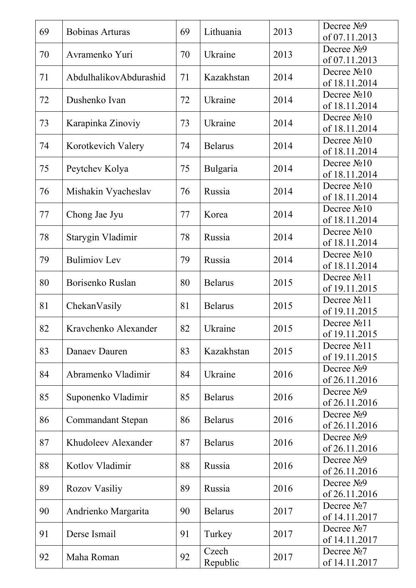| 69 | <b>Bobinas Arturas</b>   | 69 | Lithuania      | 2013 | Decree $N29$<br>of 07.11.2013            |
|----|--------------------------|----|----------------|------|------------------------------------------|
| 70 | Avramenko Yuri           | 70 | Ukraine        | 2013 | Decree N <sub>2</sub> 9                  |
|    |                          |    |                |      | of 07.11.2013                            |
| 71 | AbdulhalikovAbdurashid   | 71 | Kazakhstan     | 2014 | Decree No <sub>10</sub><br>of 18.11.2014 |
| 72 | Dushenko Ivan            | 72 | Ukraine        | 2014 | Decree No <sub>10</sub>                  |
|    |                          |    |                |      | of 18.11.2014                            |
| 73 | Karapinka Zinoviy        | 73 | Ukraine        | 2014 | Decree No <sub>10</sub><br>of 18.11.2014 |
|    |                          |    |                |      | Decree No <sub>10</sub>                  |
| 74 | Korotkevich Valery       | 74 | <b>Belarus</b> | 2014 | of 18.11.2014                            |
| 75 | Peytchev Kolya           | 75 | Bulgaria       | 2014 | Decree No <sub>10</sub>                  |
|    |                          |    |                |      | of 18.11.2014                            |
| 76 | Mishakin Vyacheslav      | 76 | Russia         | 2014 | Decree No <sub>10</sub><br>of 18.11.2014 |
|    |                          |    |                |      | Decree $N210$                            |
| 77 | Chong Jae Jyu            | 77 | Korea          | 2014 | of 18.11.2014                            |
| 78 | Starygin Vladimir        | 78 | Russia         | 2014 | Decree $N210$                            |
|    |                          |    |                |      | of 18.11.2014                            |
| 79 | <b>Bulimiov</b> Lev      | 79 | Russia         | 2014 | Decree $N210$<br>of 18.11.2014           |
|    |                          |    |                |      | Decree No <sub>11</sub>                  |
| 80 | Borisenko Ruslan         | 80 | <b>Belarus</b> | 2015 | of 19.11.2015                            |
| 81 | ChekanVasily             | 81 | <b>Belarus</b> | 2015 | Decree No <sub>11</sub>                  |
|    |                          |    |                |      | of 19.11.2015                            |
| 82 | Kravchenko Alexander     | 82 | Ukraine        | 2015 | Decree No <sub>11</sub><br>of 19.11.2015 |
|    |                          |    |                |      | Decree No <sub>11</sub>                  |
| 83 | Danaev Dauren            | 83 | Kazakhstan     | 2015 | of 19.11.2015                            |
| 84 | Abramenko Vladimir       | 84 | Ukraine        | 2016 | Decree $N29$                             |
|    |                          |    |                |      | of 26.11.2016                            |
| 85 | Suponenko Vladimir       | 85 | <b>Belarus</b> | 2016 | Decree No <sub>9</sub><br>of 26.11.2016  |
|    |                          |    |                |      | Decree N <sub>2</sub> 9                  |
| 86 | <b>Commandant Stepan</b> | 86 | <b>Belarus</b> | 2016 | of 26.11.2016                            |
| 87 | Khudoleev Alexander      | 87 | <b>Belarus</b> | 2016 | Decree No <sub>9</sub>                   |
|    |                          |    |                |      | of 26.11.2016                            |
| 88 | Kotlov Vladimir          | 88 | Russia         | 2016 | Decree No <sub>9</sub><br>of 26.11.2016  |
|    |                          |    |                |      | Decree No <sub>9</sub>                   |
| 89 | Rozov Vasiliy            | 89 | Russia         | 2016 | of 26.11.2016                            |
| 90 | Andrienko Margarita      | 90 | <b>Belarus</b> | 2017 | Decree No7                               |
|    |                          |    |                |      | of 14.11.2017                            |
| 91 | Derse Ismail             | 91 | Turkey         | 2017 | Decree No <sub>7</sub><br>of 14.11.2017  |
|    |                          |    | Czech          |      | Decree No <sub>7</sub>                   |
| 92 | Maha Roman               | 92 | Republic       | 2017 | of 14.11.2017                            |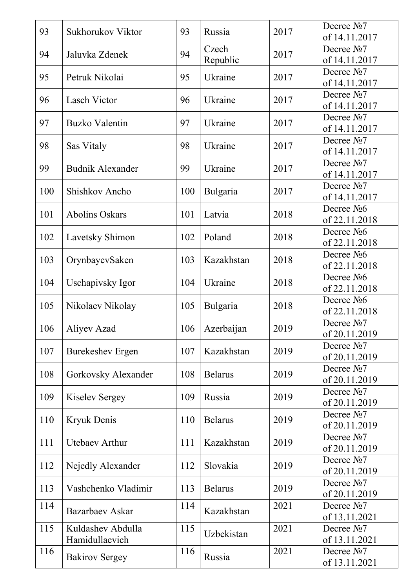| 93  | Sukhorukov Viktor                   | 93  | Russia            | 2017 | Decree $N2$<br>of 14.11.2017             |
|-----|-------------------------------------|-----|-------------------|------|------------------------------------------|
| 94  | Jaluvka Zdenek                      | 94  | Czech<br>Republic | 2017 | Decree $N2$ 7<br>of 14.11.2017           |
| 95  | Petruk Nikolai                      | 95  | Ukraine           | 2017 | Decree No <sub>7</sub><br>of 14.11.2017  |
| 96  | <b>Lasch Victor</b>                 | 96  | Ukraine           | 2017 | Decree No7<br>of 14.11.2017              |
| 97  | <b>Buzko Valentin</b>               | 97  | Ukraine           | 2017 | Decree $N2$<br>of 14.11.2017             |
| 98  | Sas Vitaly                          | 98  | Ukraine           | 2017 | Decree No <sub>7</sub><br>of 14.11.2017  |
| 99  | <b>Budnik Alexander</b>             | 99  | Ukraine           | 2017 | Decree $N2$<br>of 14.11.2017             |
| 100 | Shishkov Ancho                      | 100 | <b>Bulgaria</b>   | 2017 | Decree No <sub>7</sub><br>of 14.11.2017  |
| 101 | <b>Abolins Oskars</b>               | 101 | Latvia            | 2018 | Decree No6<br>of 22.11.2018              |
| 102 | Lavetsky Shimon                     | 102 | Poland            | 2018 | Decree $N26$<br>of 22.11.2018            |
| 103 | OrynbayevSaken                      | 103 | Kazakhstan        | 2018 | Decree No <sub>26</sub><br>of 22.11.2018 |
| 104 | Uschapivsky Igor                    | 104 | Ukraine           | 2018 | Decree No6<br>of 22.11.2018              |
| 105 | Nikolaev Nikolay                    | 105 | Bulgaria          | 2018 | Decree $N26$<br>of 22.11.2018            |
| 106 | Aliyev Azad                         | 106 | Azerbaijan        | 2019 | Decree No7<br>of 20.11.2019              |
| 107 | <b>Burekeshev Ergen</b>             | 107 | Kazakhstan        | 2019 | Decree No7<br>of 20.11.2019              |
| 108 | Gorkovsky Alexander                 | 108 | <b>Belarus</b>    | 2019 | Decree $N2$<br>of 20.11.2019             |
| 109 | <b>Kiselev Sergey</b>               | 109 | Russia            | 2019 | Decree $N2$<br>of 20.11.2019             |
| 110 | <b>Kryuk Denis</b>                  | 110 | <b>Belarus</b>    | 2019 | Decree No <sub>7</sub><br>of 20.11.2019  |
| 111 | <b>Utebaev Arthur</b>               | 111 | Kazakhstan        | 2019 | Decree No <sub>7</sub><br>of 20.11.2019  |
| 112 | Nejedly Alexander                   | 112 | Slovakia          | 2019 | Decree $N2$<br>of 20.11.2019             |
| 113 | Vashchenko Vladimir                 | 113 | <b>Belarus</b>    | 2019 | Decree No <sub>2</sub><br>of 20.11.2019  |
| 114 | Bazarbaev Askar                     | 114 | Kazakhstan        | 2021 | Decree No <sub>7</sub><br>of 13.11.2021  |
| 115 | Kuldashev Abdulla<br>Hamidullaevich | 115 | Uzbekistan        | 2021 | Decree No <sub>2</sub><br>of 13.11.2021  |
| 116 | <b>Bakirov Sergey</b>               | 116 | Russia            | 2021 | Decree No <sub>2</sub><br>of 13.11.2021  |